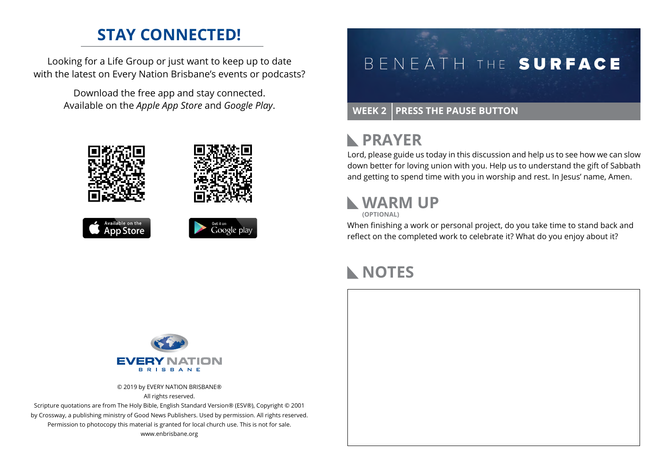### **STAY CONNECTED!**

Looking for a Life Group or just want to keep up to date with the latest on Every Nation Brisbane's events or podcasts?

> Download the free app and stay connected. Available on the *Apple App Store* and *Google Play*.





#### **WEEK 2 PRESS THE PAUSE BUTTON**

#### **RAYER**

Lord, please guide us today in this discussion and help us to see how we can slow down better for loving union with you. Help us to understand the gift of Sabbath and getting to spend time with you in worship and rest. In Jesus' name, Amen.

## **WARM UP**

**(OPTIONAL)**

When finishing a work or personal project, do you take time to stand back and reflect on the completed work to celebrate it? What do you enjoy about it?

# **NOTES**



© 2019 by EVERY NATION BRISBANE® All rights reserved.

Scripture quotations are from The Holy Bible, English Standard Version® (ESV®), Copyright © 2001 by Crossway, a publishing ministry of Good News Publishers. Used by permission. All rights reserved. Permission to photocopy this material is granted for local church use. This is not for sale. www.enbrisbane.org